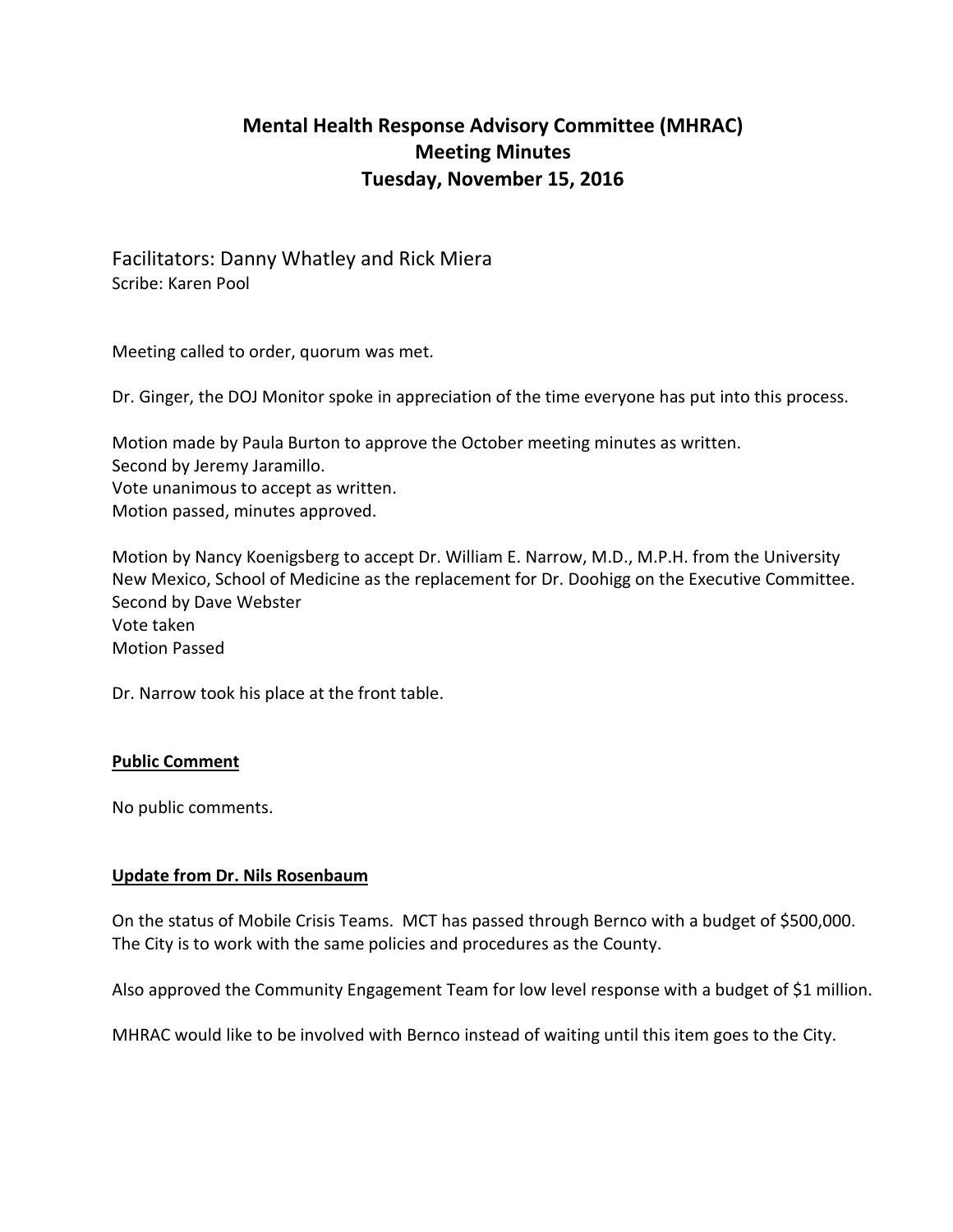# **Mental Health Response Advisory Committee (MHRAC) Meeting Minutes Tuesday, November 15, 2016**

Facilitators: Danny Whatley and Rick Miera Scribe: Karen Pool

Meeting called to order, quorum was met.

Dr. Ginger, the DOJ Monitor spoke in appreciation of the time everyone has put into this process.

Motion made by Paula Burton to approve the October meeting minutes as written. Second by Jeremy Jaramillo.

Vote unanimous to accept as written. Motion passed, minutes approved.

Motion by Nancy Koenigsberg to accept Dr. William E. Narrow, M.D., M.P.H. from the University New Mexico, School of Medicine as the replacement for Dr. Doohigg on the Executive Committee. Second by Dave Webster Vote taken Motion Passed

Dr. Narrow took his place at the front table.

#### **Public Comment**

No public comments.

#### **Update from Dr. Nils Rosenbaum**

On the status of Mobile Crisis Teams. MCT has passed through Bernco with a budget of \$500,000. The City is to work with the same policies and procedures as the County.

Also approved the Community Engagement Team for low level response with a budget of \$1 million.

MHRAC would like to be involved with Bernco instead of waiting until this item goes to the City.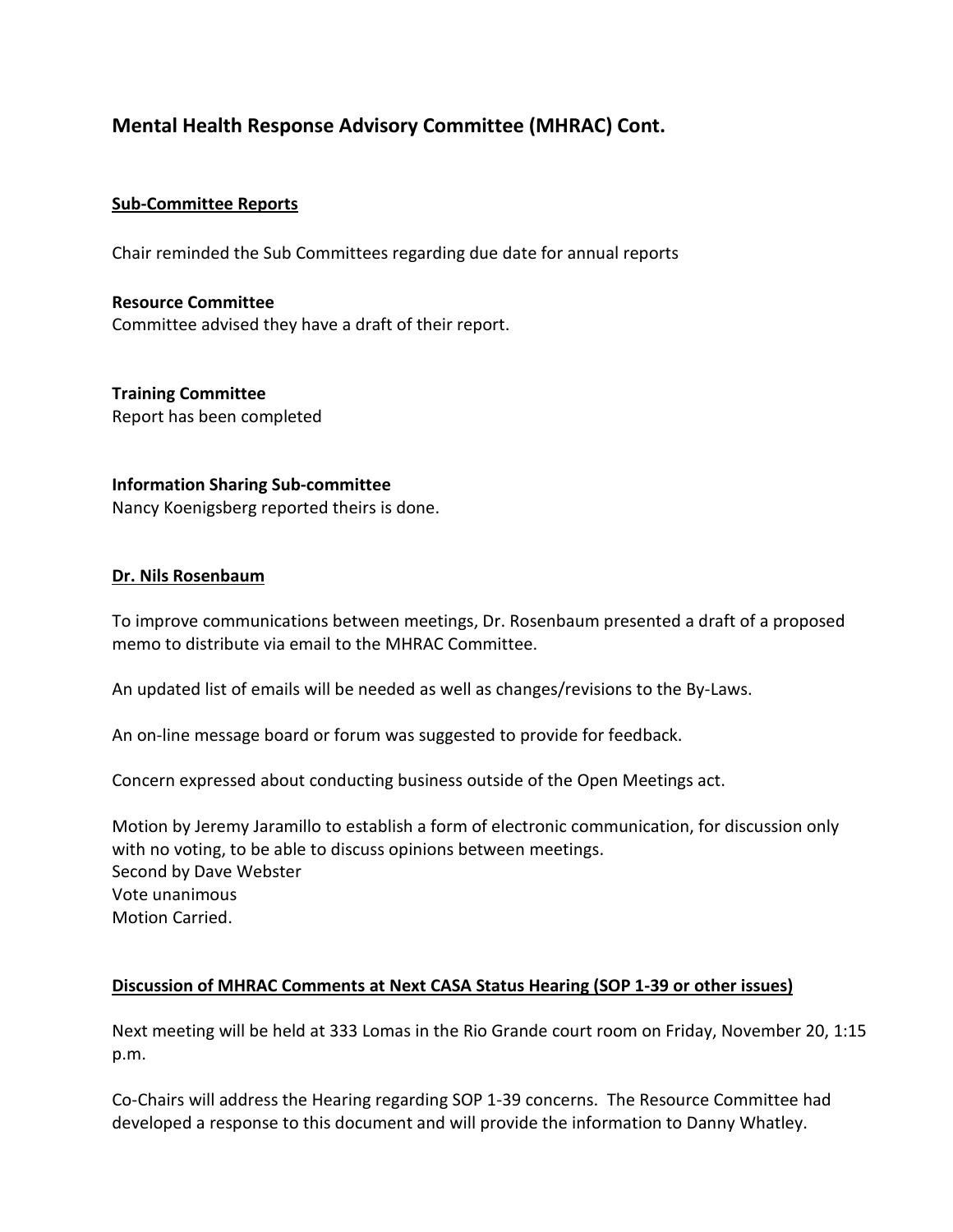# **Mental Health Response Advisory Committee (MHRAC) Cont.**

### **Sub-Committee Reports**

Chair reminded the Sub Committees regarding due date for annual reports

**Resource Committee** Committee advised they have a draft of their report.

**Training Committee** Report has been completed

#### **Information Sharing Sub-committee**

Nancy Koenigsberg reported theirs is done.

#### **Dr. Nils Rosenbaum**

To improve communications between meetings, Dr. Rosenbaum presented a draft of a proposed memo to distribute via email to the MHRAC Committee.

An updated list of emails will be needed as well as changes/revisions to the By-Laws.

An on-line message board or forum was suggested to provide for feedback.

Concern expressed about conducting business outside of the Open Meetings act.

Motion by Jeremy Jaramillo to establish a form of electronic communication, for discussion only with no voting, to be able to discuss opinions between meetings. Second by Dave Webster Vote unanimous Motion Carried.

#### **Discussion of MHRAC Comments at Next CASA Status Hearing (SOP 1-39 or other issues)**

Next meeting will be held at 333 Lomas in the Rio Grande court room on Friday, November 20, 1:15 p.m.

Co-Chairs will address the Hearing regarding SOP 1-39 concerns. The Resource Committee had developed a response to this document and will provide the information to Danny Whatley.